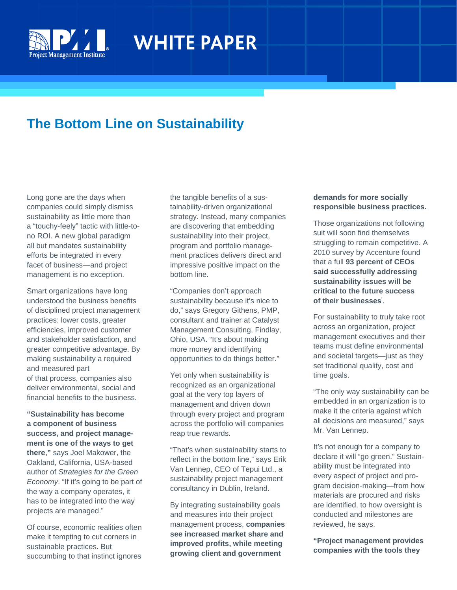

 Ŧ

# **WHITE PAPER**

# **The Bottom Line on Sustainability**

Long gone are the days when companies could simply dismiss sustainability as little more than a "touchy-feely" tactic with little-tono ROI. A new global paradigm all but mandates sustainability efforts be integrated in every facet of business—and project management is no exception.

Smart organizations have long understood the business benefits of disciplined project management practices: lower costs, greater efficiencies, improved customer and stakeholder satisfaction, and greater competitive advantage. By making sustainability a required and measured part of that process, companies also deliver environmental, social and financial benefits to the business.

**"Sustainability has become a component of business success, and project management is one of the ways to get there,"** says Joel Makower, the Oakland, California, USA-based author of *Strategies for the Green Economy*. "If it's going to be part of the way a company operates, it has to be integrated into the way projects are managed."

Of course, economic realities often make it tempting to cut corners in sustainable practices. But succumbing to that instinct ignores

the tangible benefits of a sustainability-driven organizational strategy. Instead, many companies are discovering that embedding sustainability into their project, program and portfolio management practices delivers direct and impressive positive impact on the bottom line.

"Companies don't approach sustainability because it's nice to do," says Gregory Githens, PMP, consultant and trainer at Catalyst Management Consulting, Findlay, Ohio, USA. "It's about making more money and identifying opportunities to do things better."

Yet only when sustainability is recognized as an organizational goal at the very top layers of management and driven down through every project and program across the portfolio will companies reap true rewards.

"That's when sustainability starts to reflect in the bottom line," says Erik Van Lennep, CEO of Tepui Ltd., a sustainability project management consultancy in Dublin, Ireland.

By integrating sustainability goals and measures into their project management process, **companies see increased market share and improved profits, while meeting growing client and government** 

#### **demands for more socially responsible business practices.**

Those organizations not following suit will soon find themselves struggling to remain competitive. A 2010 survey by Accenture found that a full **93 percent of CEOs said successfully addressing sustainability issues will be critical to the future success of their businesses**<sup>i</sup> .

For sustainability to truly take root across an organization, project management executives and their teams must define environmental and societal targets—just as they set traditional quality, cost and time goals.

"The only way sustainability can be embedded in an organization is to make it the criteria against which all decisions are measured," says Mr. Van Lennep.

It's not enough for a company to declare it will "go green." Sustainability must be integrated into every aspect of project and program decision-making—from how materials are procured and risks are identified, to how oversight is conducted and milestones are reviewed, he says.

**"Project management provides companies with the tools they**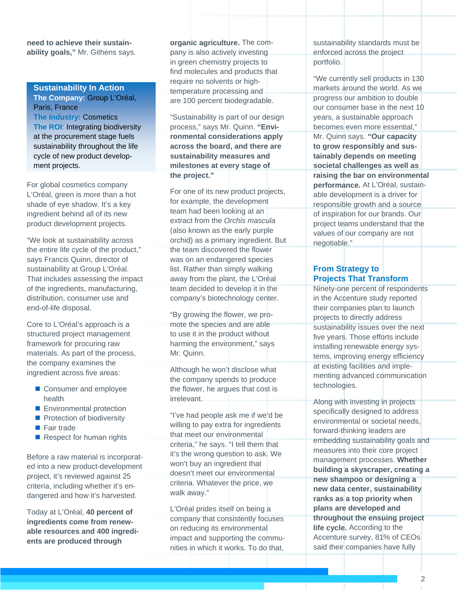**need to achieve their sustainability goals,"** Mr. Githens says.

# **Sustainability In Action**

**The Company:** Group L'Oréal, Paris, France **The Industry:** Cosmetics **The ROI**: Integrating biodiversity at the procurement stage fuels sustainability throughout the life cycle of new product development projects.

For global cosmetics company L'Oréal, green is more than a hot shade of eye shadow. It's a key ingredient behind all of its new product development projects.

"We look at sustainability across the entire life cycle of the product," says Francis Quinn, director of sustainability at Group L'Oréal. That includes assessing the impact of the ingredients, manufacturing, distribution, consumer use and end-of-life disposal.

Core to L'Oréal's approach is a structured project management framework for procuring raw materials. As part of the process, the company examines the ingredient across five areas:

- Consumer and employee health
- **Environmental protection**
- Protection of biodiversity
- Fair trade
- Respect for human rights

Before a raw material is incorporated into a new product-development project, it's reviewed against 25 criteria, including whether it's endangered and how it's harvested.

Today at L'Oréal, **40 percent of ingredients come from renewable resources and 400 ingredients are produced through** 

**organic agriculture.** The company is also actively investing in green chemistry projects to find molecules and products that require no solvents or hightemperature processing and are 100 percent biodegradable.

"Sustainability is part of our design process," says Mr. Quinn. **"Environmental considerations apply across the board, and there are sustainability measures and milestones at every stage of the project."** 

For one of its new product projects, for example, the development team had been looking at an extract from the *Orchis mascula* (also known as the early purple orchid) as a primary ingredient. But the team discovered the flower was on an endangered species list. Rather than simply walking away from the plant, the L'Oréal team decided to develop it in the company's biotechnology center.

"By growing the flower, we promote the species and are able to use it in the product without harming the environment," says Mr. Quinn.

Although he won't disclose what the company spends to produce the flower, he argues that cost is irrelevant.

"I've had people ask me if we'd be willing to pay extra for ingredients that meet our environmental criteria," he says. "I tell them that it's the wrong question to ask. We won't buy an ingredient that doesn't meet our environmental criteria. Whatever the price, we walk away."

L'Oréal prides itself on being a company that consistently focuses on reducing its environmental impact and supporting the communities in which it works. To do that,

sustainability standards must be enforced across the project portfolio.

"We currently sell products in 130 markets around the world. As we progress our ambition to double our consumer base in the next 10 years, a sustainable approach becomes even more essential," Mr. Quinn says. **"Our capacity to grow responsibly and sustainably depends on meeting societal challenges as well as raising the bar on environmental performance.** At L'Oréal, sustainable development is a driver for responsible growth and a source of inspiration for our brands. Our project teams understand that the values of our company are not negotiable."

# **From Strategy to Projects That Transform**

Ninety-one percent of respondents in the Accenture study reported their companies plan to launch projects to directly address sustainability issues over the next five years. Those efforts include installing renewable energy systems, improving energy efficiency at existing facilities and implementing advanced communication technologies.

Along with investing in projects specifically designed to address environmental or societal needs, forward-thinking leaders are embedding sustainability goals and measures into their core project management processes. **Whether building a skyscraper, creating a new shampoo or designing a new data center, sustainability ranks as a top priority when plans are developed and throughout the ensuing project life cycle.** According to the Accenture survey, 81% of CEOs said their companies have fully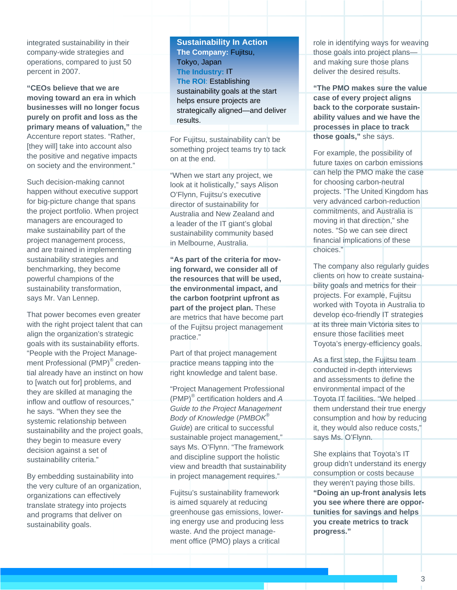integrated sustainability in their company-wide strategies and operations, compared to just 50 percent in 2007.

**"CEOs believe that we are moving toward an era in which businesses will no longer focus purely on profit and loss as the primary means of valuation,"** the Accenture report states. "Rather, [they will] take into account also the positive and negative impacts on society and the environment."

Such decision-making cannot happen without executive support for big-picture change that spans the project portfolio. When project managers are encouraged to make sustainability part of the project management process, and are trained in implementing sustainability strategies and benchmarking, they become powerful champions of the sustainability transformation, says Mr. Van Lennep.

That power becomes even greater with the right project talent that can align the organization's strategic goals with its sustainability efforts. "People with the Project Management Professional (PMP)<sup>®</sup> credential already have an instinct on how to [watch out for] problems, and they are skilled at managing the inflow and outflow of resources," he says. "When they see the systemic relationship between sustainability and the project goals, they begin to measure every decision against a set of sustainability criteria."

By embedding sustainability into the very culture of an organization, organizations can effectively translate strategy into projects and programs that deliver on sustainability goals.

**Sustainability In Action The Company:** Fujitsu, Tokyo, Japan **The Industry:** IT **The ROI**: Establishing sustainability goals at the start helps ensure projects are strategically aligned—and deliver results.

For Fujitsu, sustainability can't be something project teams try to tack on at the end.

"When we start any project, we look at it holistically," says Alison O'Flynn, Fujitsu's executive director of sustainability for Australia and New Zealand and a leader of the IT giant's global sustainability community based in Melbourne, Australia.

**"As part of the criteria for moving forward, we consider all of the resources that will be used, the environmental impact, and the carbon footprint upfront as part of the project plan.** These are metrics that have become part of the Fujitsu project management practice."

Part of that project management practice means tapping into the right knowledge and talent base.

"Project Management Professional (PMP)® certification holders and *A Guide to the Project Management Body of Knowledge* (*PMBOK® Guide*) are critical to successful sustainable project management," says Ms. O'Flynn. "The framework and discipline support the holistic view and breadth that sustainability in project management requires."

Fujitsu's sustainability framework is aimed squarely at reducing greenhouse gas emissions, lowering energy use and producing less waste. And the project management office (PMO) plays a critical

role in identifying ways for weaving those goals into project plans and making sure those plans deliver the desired results.

**"The PMO makes sure the value case of every project aligns back to the corporate sustainability values and we have the processes in place to track those goals,"** she says.

For example, the possibility of future taxes on carbon emissions can help the PMO make the case for choosing carbon-neutral projects. "The United Kingdom has very advanced carbon-reduction commitments, and Australia is moving in that direction," she notes. "So we can see direct financial implications of these choices."

The company also regularly guides clients on how to create sustainability goals and metrics for their projects. For example, Fujitsu worked with Toyota in Australia to develop eco-friendly IT strategies at its three main Victoria sites to ensure those facilities meet Toyota's energy-efficiency goals.

As a first step, the Fujitsu team conducted in-depth interviews and assessments to define the environmental impact of the Toyota IT facilities. "We helped them understand their true energy consumption and how by reducing it, they would also reduce costs," says Ms. O'Flynn.

She explains that Toyota's IT group didn't understand its energy consumption or costs because they weren't paying those bills. **"Doing an up-front analysis lets you see where there are opportunities for savings and helps you create metrics to track progress."**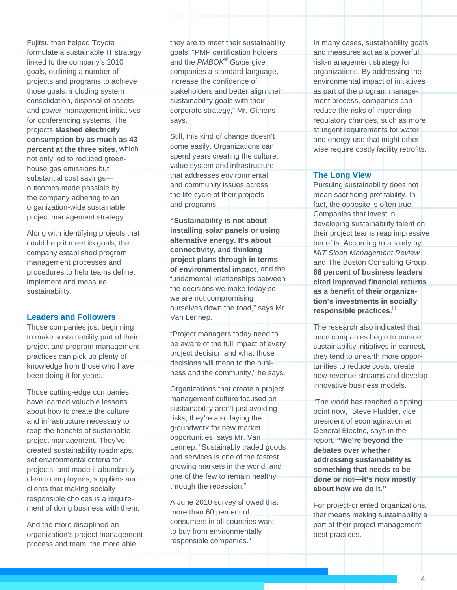Fujitsu then helped Toyota formulate a sustainable IT strategy linked to the company's 2010 goals, outlining a number of projects and programs to achieve those goals, including system consolidation, disposal of assets and power-management initiatives for conferencing systems. The projects **slashed electricity consumption by as much as 43 percent at the three sites**, which not only led to reduced greenhouse gas emissions but substantial cost savings outcomes made possible by the company adhering to an organization-wide sustainable project management strategy.

Along with identifying projects that could help it meet its goals, the company established program management processes and procedures to help teams define, implement and measure sustainability.

#### **Leaders and Followers**

Those companies just beginning to make sustainability part of their project and program management practices can pick up plenty of knowledge from those who have been doing it for years.

Those cutting-edge companies have learned valuable lessons about how to create the culture and infrastructure necessary to reap the benefits of sustainable project management. They've created sustainability roadmaps, set environmental criteria for projects, and made it abundantly clear to employees, suppliers and clients that making socially responsible choices is a requirement of doing business with them.

And the more disciplined an organization's project management process and team, the more able

they are to meet their sustainability goals. "PMP certification holders and the *PMBOK® Guide* give companies a standard language, increase the confidence of stakeholders and better align their sustainability goals with their corporate strategy," Mr. Githens says.

Still, this kind of change doesn't come easily. Organizations can spend years creating the culture, value system and infrastructure that addresses environmental and community issues across the life cycle of their projects and programs.

**"Sustainability is not about installing solar panels or using alternative energy. It's about connectivity, and thinking project plans through in terms of environmental impact**, and the fundamental relationships between the decisions we make today so we are not compromising ourselves down the road," says Mr. Van Lennep.

"Project managers today need to be aware of the full impact of every project decision and what those decisions will mean to the business and the community," he says.

Organizations that create a project management culture focused on sustainability aren't just avoiding risks, they're also laying the groundwork for new market opportunities, says Mr. Van Lennep. "Sustainably traded goods and services is one of the fastest growing markets in the world, and one of the few to remain healthy through the recession."

A June 2010 survey showed that more than 60 percent of consumers in all countries want to buy from environmentally responsible companies.<sup>ii</sup>

In many cases, sustainability goals and measures act as a powerful risk-management strategy for organizations. By addressing the environmental impact of initiatives as part of the program management process, companies can reduce the risks of impending regulatory changes, such as more stringent requirements for water and energy use that might otherwise require costly facility retrofits.

#### **The Long View**

Pursuing sustainability does not mean sacrificing profitability. In fact, the opposite is often true. Companies that invest in developing sustainability talent on their project teams reap impressive benefits. According to a study by *MIT Sloan Management Review* and The Boston Consulting Group, **68 percent of business leaders cited improved financial returns as a benefit of their organization's investments in socially responsible practices**. iii

The research also indicated that once companies begin to pursue sustainability initiatives in earnest, they tend to unearth more opportunities to reduce costs, create new revenue streams and develop innovative business models.

"The world has reached a tipping point now," Steve Fludder, vice president of ecomagination at General Electric, says in the report. **"We're beyond the debates over whether addressing sustainability is something that needs to be done or not—it's now mostly about how we do it."** 

For project-oriented organizations, that means making sustainability a part of their project management best practices.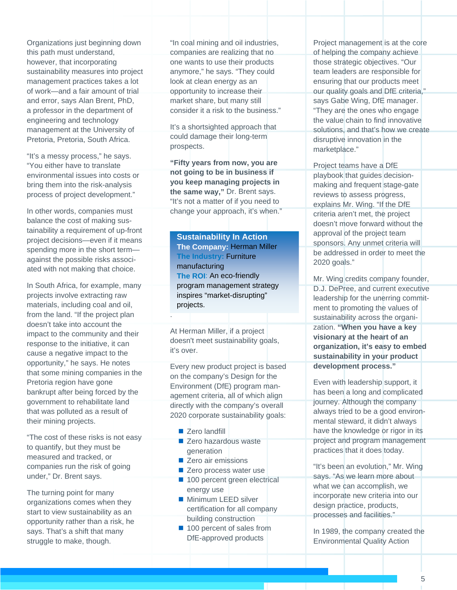Organizations just beginning down this path must understand, however, that incorporating sustainability measures into project management practices takes a lot of work—and a fair amount of trial and error, says Alan Brent, PhD, a professor in the department of engineering and technology management at the University of Pretoria, Pretoria, South Africa.

"It's a messy process," he says. "You either have to translate environmental issues into costs or bring them into the risk-analysis process of project development."

In other words, companies must balance the cost of making sustainability a requirement of up-front project decisions—even if it means spending more in the short term against the possible risks associated with not making that choice.

In South Africa, for example, many projects involve extracting raw materials, including coal and oil, from the land. "If the project plan doesn't take into account the impact to the community and their response to the initiative, it can cause a negative impact to the opportunity," he says. He notes that some mining companies in the Pretoria region have gone bankrupt after being forced by the government to rehabilitate land that was polluted as a result of their mining projects.

"The cost of these risks is not easy to quantify, but they must be measured and tracked, or companies run the risk of going under," Dr. Brent says.

The turning point for many organizations comes when they start to view sustainability as an opportunity rather than a risk, he says. That's a shift that many struggle to make, though.

"In coal mining and oil industries, companies are realizing that no one wants to use their products anymore," he says. "They could look at clean energy as an opportunity to increase their market share, but many still consider it a risk to the business."

It's a shortsighted approach that could damage their long-term prospects.

**"Fifty years from now, you are not going to be in business if you keep managing projects in the same way,"** Dr. Brent says. "It's not a matter of if you need to change your approach, it's when."

**Sustainability In Action The Company:** Herman Miller **The Industry:** Furniture manufacturing **The ROI**: An eco-friendly program management strategy inspires "market-disrupting" projects.

At Herman Miller, if a project doesn't meet sustainability goals, it's over.

Every new product project is based on the company's Design for the Environment (DfE) program management criteria, all of which align directly with the company's overall 2020 corporate sustainability goals:

■ Zero landfill

.

- Zero hazardous waste generation
- Zero air emissions
- Zero process water use
- 100 percent green electrical energy use
- **Minimum LEED silver** certification for all company building construction
- 100 percent of sales from DfE-approved products

Project management is at the core of helping the company achieve those strategic objectives. "Our team leaders are responsible for ensuring that our products meet our quality goals and DfE criteria," says Gabe Wing, DfE manager. "They are the ones who engage the value chain to find innovative solutions, and that's how we create disruptive innovation in the marketplace."

Project teams have a DfE playbook that guides decisionmaking and frequent stage-gate reviews to assess progress, explains Mr. Wing. "If the DfE criteria aren't met, the project doesn't move forward without the approval of the project team sponsors. Any unmet criteria will be addressed in order to meet the 2020 goals."

Mr. Wing credits company founder, D.J. DePree, and current executive leadership for the unerring commitment to promoting the values of sustainability across the organization. **"When you have a key visionary at the heart of an organization, it's easy to embed sustainability in your product development process."**

Even with leadership support, it has been a long and complicated journey. Although the company always tried to be a good environmental steward, it didn't always have the knowledge or rigor in its project and program management practices that it does today.

"It's been an evolution," Mr. Wing says. "As we learn more about what we can accomplish, we incorporate new criteria into our design practice, products, processes and facilities."

In 1989, the company created the Environmental Quality Action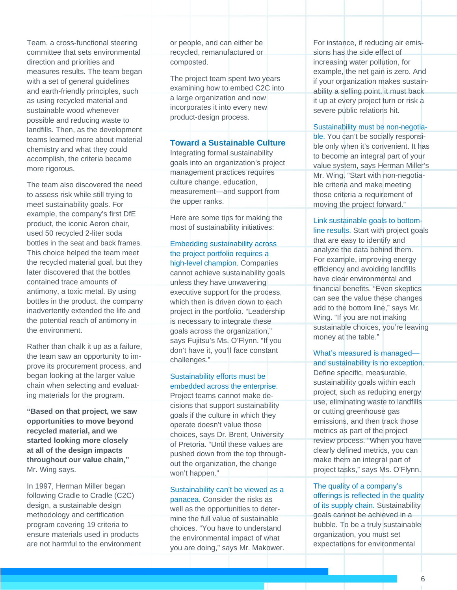Team, a cross-functional steering committee that sets environmental direction and priorities and measures results. The team began with a set of general guidelines and earth-friendly principles, such as using recycled material and sustainable wood whenever possible and reducing waste to landfills. Then, as the development teams learned more about material chemistry and what they could accomplish, the criteria became more rigorous.

The team also discovered the need to assess risk while still trying to meet sustainability goals. For example, the company's first DfE product, the iconic Aeron chair, used 50 recycled 2-liter soda bottles in the seat and back frames. This choice helped the team meet the recycled material goal, but they later discovered that the bottles contained trace amounts of antimony, a toxic metal. By using bottles in the product, the company inadvertently extended the life and the potential reach of antimony in the environment.

Rather than chalk it up as a failure, the team saw an opportunity to improve its procurement process, and began looking at the larger value chain when selecting and evaluating materials for the program.

**"Based on that project, we saw opportunities to move beyond recycled material, and we started looking more closely at all of the design impacts throughout our value chain,"** Mr. Wing says.

In 1997, Herman Miller began following Cradle to Cradle (C2C) design, a sustainable design methodology and certification program covering 19 criteria to ensure materials used in products are not harmful to the environment or people, and can either be recycled, remanufactured or composted.

The project team spent two years examining how to embed C2C into a large organization and now incorporates it into every new product-design process.

#### **Toward a Sustainable Culture**

Integrating formal sustainability goals into an organization's project management practices requires culture change, education, measurement—and support from the upper ranks.

Here are some tips for making the most of sustainability initiatives:

Embedding sustainability across the project portfolio requires a high-level champion. Companies cannot achieve sustainability goals unless they have unwavering executive support for the process, which then is driven down to each project in the portfolio. "Leadership is necessary to integrate these goals across the organization," says Fujitsu's Ms. O'Flynn. "If you don't have it, you'll face constant challenges."

# Sustainability efforts must be embedded across the enterprise.

Project teams cannot make decisions that support sustainability goals if the culture in which they operate doesn't value those choices, says Dr. Brent, University of Pretoria. "Until these values are pushed down from the top throughout the organization, the change won't happen."

Sustainability can't be viewed as a panacea. Consider the risks as well as the opportunities to determine the full value of sustainable choices. "You have to understand the environmental impact of what you are doing," says Mr. Makower.

For instance, if reducing air emissions has the side effect of increasing water pollution, for example, the net gain is zero. And if your organization makes sustainability a selling point, it must back it up at every project turn or risk a severe public relations hit.

## Sustainability must be non-negotia-

ble. You can't be socially responsible only when it's convenient. It has to become an integral part of your value system, says Herman Miller's Mr. Wing. "Start with non-negotiable criteria and make meeting those criteria a requirement of moving the project forward."

### Link sustainable goals to bottom-

line results. Start with project goals that are easy to identify and analyze the data behind them. For example, improving energy efficiency and avoiding landfills have clear environmental and financial benefits. "Even skeptics can see the value these changes add to the bottom line," says Mr. Wing. "If you are not making sustainable choices, you're leaving money at the table."

#### What's measured is managed and sustainability is no exception.

Define specific, measurable, sustainability goals within each project, such as reducing energy use, eliminating waste to landfills or cutting greenhouse gas emissions, and then track those metrics as part of the project review process. "When you have clearly defined metrics, you can make them an integral part of project tasks," says Ms. O'Flynn.

The quality of a company's offerings is reflected in the quality of its supply chain. Sustainability goals cannot be achieved in a bubble. To be a truly sustainable organization, you must set expectations for environmental